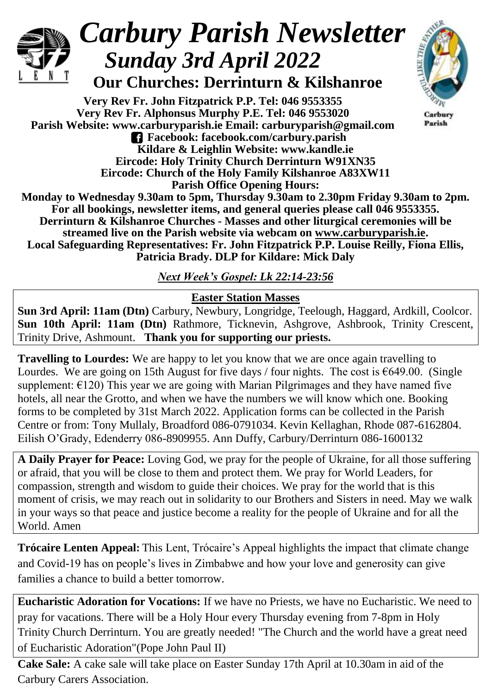

# *Carbury Parish Newsletter Sunday 3rd April 2022*

 **Our Churches: Derrinturn & Kilshanroe**

**Very Rev Fr. John Fitzpatrick P.P. Tel: 046 9553355 Very Rev Fr. Alphonsus Murphy P.E. Tel: 046 9553020 Parish Website: www.carburyparish.ie Email: carburyparish@gmail.com Facebook: facebook.com/carbury.parish Kildare & Leighlin Website: www.kandle.ie Eircode: Holy Trinity Church Derrinturn W91XN35 Eircode: Church of the Holy Family Kilshanroe A83XW11 Parish Office Opening Hours:**



Carbury Parish

**Monday to Wednesday 9.30am to 5pm, Thursday 9.30am to 2.30pm Friday 9.30am to 2pm. For all bookings, newsletter items, and general queries please call 046 9553355. Derrinturn & Kilshanroe Churches - Masses and other liturgical ceremonies will be streamed live on the Parish website via webcam on [www.carburyparish.ie.](http://www.carburyparish.ie/) Local Safeguarding Representatives: Fr. John Fitzpatrick P.P. Louise Reilly, Fiona Ellis, Patricia Brady. DLP for Kildare: Mick Daly**

*Next Week's Gospel: Lk 22:14-23:56*

### **Easter Station Masses**

**Sun 3rd April: 11am (Dtn)** Carbury, Newbury, Longridge, Teelough, Haggard, Ardkill, Coolcor. **Sun 10th April: 11am (Dtn)** Rathmore, Ticknevin, Ashgrove, Ashbrook, Trinity Crescent, Trinity Drive, Ashmount. **Thank you for supporting our priests.**

**Travelling to Lourdes:** We are happy to let you know that we are once again travelling to Lourdes. We are going on 15th August for five days / four nights. The cost is  $\epsilon$ 649.00. (Single supplement:  $E(120)$  This year we are going with Marian Pilgrimages and they have named five hotels, all near the Grotto, and when we have the numbers we will know which one. Booking forms to be completed by 31st March 2022. Application forms can be collected in the Parish Centre or from: Tony Mullaly, Broadford 086-0791034. Kevin Kellaghan, Rhode 087-6162804. Eilish O'Grady, Edenderry 086-8909955. Ann Duffy, Carbury/Derrinturn 086-1600132

**A Daily Prayer for Peace:** Loving God, we pray for the people of Ukraine, for all those suffering or afraid, that you will be close to them and protect them. We pray for World Leaders, for compassion, strength and wisdom to guide their choices. We pray for the world that is this moment of crisis, we may reach out in solidarity to our Brothers and Sisters in need. May we walk in your ways so that peace and justice become a reality for the people of Ukraine and for all the World. Amen

**Trócaire Lenten Appeal:** This Lent, Trócaire's Appeal highlights the impact that climate change and Covid-19 has on people's lives in Zimbabwe and how your love and generosity can give families a chance to build a better tomorrow.

**Eucharistic Adoration for Vocations:** If we have no Priests, we have no Eucharistic. We need to pray for vacations. There will be a Holy Hour every Thursday evening from 7-8pm in Holy Trinity Church Derrinturn. You are greatly needed! "The Church and the world have a great need of Eucharistic Adoration"(Pope John Paul II)

**Cake Sale:** A cake sale will take place on Easter Sunday 17th April at 10.30am in aid of the Carbury Carers Association.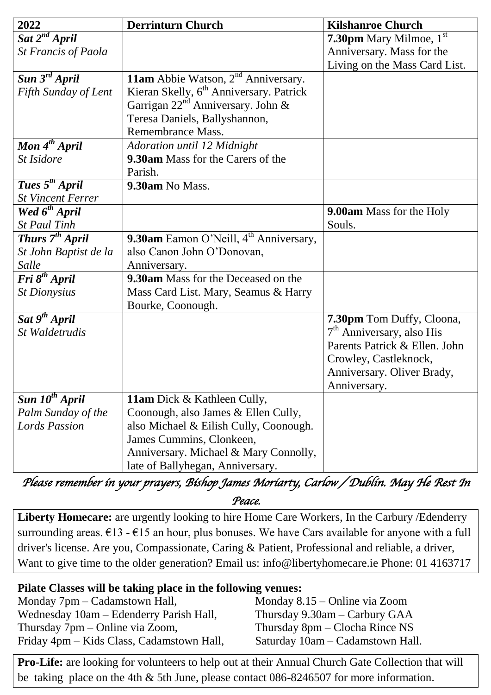| 2022                          | <b>Derrinturn Church</b>                            | <b>Kilshanroe Church</b>         |
|-------------------------------|-----------------------------------------------------|----------------------------------|
| $\overline{Sat~2^{nd}}$ April |                                                     | <b>7.30pm</b> Mary Milmoe, $1st$ |
| St Francis of Paola           |                                                     | Anniversary. Mass for the        |
|                               |                                                     | Living on the Mass Card List.    |
| Sun 3 <sup>rd</sup> April     | <b>11am</b> Abbie Watson, $2^{nd}$ Anniversary.     |                                  |
| Fifth Sunday of Lent          | Kieran Skelly, 6 <sup>th</sup> Anniversary. Patrick |                                  |
|                               | Garrigan $22^{nd}$ Anniversary. John &              |                                  |
|                               | Teresa Daniels, Ballyshannon,                       |                                  |
|                               | Remembrance Mass.                                   |                                  |
| Mon 4 <sup>th</sup> April     | Adoration until 12 Midnight                         |                                  |
| St Isidore                    | <b>9.30am</b> Mass for the Carers of the            |                                  |
|                               | Parish.                                             |                                  |
| Tues 5 <sup>th</sup> April    | 9.30am No Mass.                                     |                                  |
| <b>St Vincent Ferrer</b>      |                                                     |                                  |
| Wed 6 <sup>th</sup> April     |                                                     | <b>9.00am</b> Mass for the Holy  |
| <b>St Paul Tinh</b>           |                                                     | Souls.                           |
| Thurs 7 <sup>th</sup> April   | 9.30am Eamon O'Neill, 4 <sup>th</sup> Anniversary,  |                                  |
| St John Baptist de la         | also Canon John O'Donovan,                          |                                  |
| Salle                         | Anniversary.                                        |                                  |
| Fri 8 <sup>th</sup> April     | 9.30am Mass for the Deceased on the                 |                                  |
| <b>St Dionysius</b>           | Mass Card List. Mary, Seamus & Harry                |                                  |
|                               | Bourke, Coonough.                                   |                                  |
| Sat 9 <sup>th</sup> April     |                                                     | 7.30pm Tom Duffy, Cloona,        |
| St Waldetrudis                |                                                     | $7th$ Anniversary, also His      |
|                               |                                                     | Parents Patrick & Ellen. John    |
|                               |                                                     | Crowley, Castleknock,            |
|                               |                                                     | Anniversary. Oliver Brady,       |
|                               |                                                     | Anniversary.                     |
| Sun $10^{th}$ April           | 11am Dick & Kathleen Cully,                         |                                  |
| Palm Sunday of the            | Coonough, also James & Ellen Cully,                 |                                  |
| <b>Lords Passion</b>          | also Michael & Eilish Cully, Coonough.              |                                  |
|                               | James Cummins, Clonkeen,                            |                                  |
|                               | Anniversary. Michael & Mary Connolly,               |                                  |
|                               | late of Ballyhegan, Anniversary.                    |                                  |

*Please remember in your prayers, Bishop James Moriarty, Carlow / Dublin. May He Rest In Peace.* 

**Liberty Homecare:** are urgently looking to hire Home Care Workers, In the Carbury /Edenderry surrounding areas.  $\epsilon$ 13 -  $\epsilon$ 15 an hour, plus bonuses. We have Cars available for anyone with a full driver's license. Are you, Compassionate, Caring & Patient, Professional and reliable, a driver, Want to give time to the older generation? Email us: [info@libertyhomecare.ie](mailto:info@libertyhomecare.ie) Phone: 01 4163717

#### **Pilate Classes will be taking place in the following venues:**

| Monday 7pm – Cadamstown Hall,             | Monday $8.15$ – Online via Zoom  |
|-------------------------------------------|----------------------------------|
| Wednesday 10am – Edenderry Parish Hall,   | Thursday $9.30$ am - Carbury GAA |
| Thursday $7 \text{pm} -$ Online via Zoom, | Thursday $8pm - Clocha$ Rince NS |
| Friday 4pm – Kids Class, Cadamstown Hall, | Saturday 10am – Cadamstown Hall. |

**Pro-Life:** are looking for volunteers to help out at their Annual Church Gate Collection that will be taking place on the 4th & 5th June, please contact 086-8246507 for more information.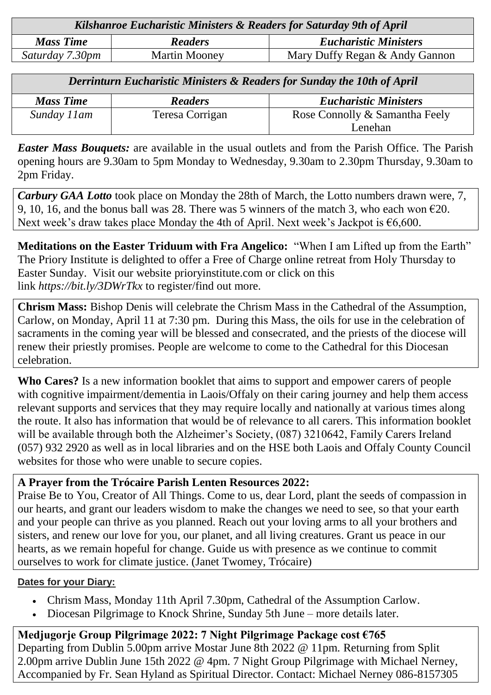| Kilshanroe Eucharistic Ministers & Readers for Saturday 9th of April |                      |                                |  |
|----------------------------------------------------------------------|----------------------|--------------------------------|--|
| <b>Mass Time</b>                                                     | <b>Readers</b>       | <b>Eucharistic Ministers</b>   |  |
| Saturday 7.30pm                                                      | <b>Martin Mooney</b> | Mary Duffy Regan & Andy Gannon |  |

| Derrinturn Eucharistic Ministers & Readers for Sunday the 10th of April |                 |                                |  |
|-------------------------------------------------------------------------|-----------------|--------------------------------|--|
| <b>Mass Time</b>                                                        | <b>Readers</b>  | <b>Eucharistic Ministers</b>   |  |
| Sunday 11am                                                             | Teresa Corrigan | Rose Connolly & Samantha Feely |  |
|                                                                         |                 | Lenehan                        |  |

*Easter Mass Bouquets:* are available in the usual outlets and from the Parish Office. The Parish opening hours are 9.30am to 5pm Monday to Wednesday, 9.30am to 2.30pm Thursday, 9.30am to 2pm Friday.

*Carbury GAA Lotto* took place on Monday the 28th of March, the Lotto numbers drawn were, 7, 9, 10, 16, and the bonus ball was 28. There was 5 winners of the match 3, who each won  $\epsilon$ 20. Next week's draw takes place Monday the 4th of April. Next week's Jackpot is  $\epsilon$ 6,600.

**Meditations on the Easter Triduum with Fra Angelico:** "When I am Lifted up from the Earth" The Priory Institute is delighted to offer a Free of Charge online retreat from Holy Thursday to Easter Sunday. Visit our website [prioryinstitute.com](https://prioryinstitute-dot-yamm-track.appspot.com/1EpNyH_mFQ1w9V8ay477sij7o0wr9ko2UAHS2UCF-QBDcIIjbfwG6jHZiSwXvjaCKf1XkXItoKSFmecyOGeQkQJcacL4xLkP4wA2P_Fbbs-eKhwMDmbD_8VT9O00zn9KZs-Ye1y4) or click on this link *[https://bit.ly/3DWrTkx](https://prioryinstitute-dot-yamm-track.appspot.com/1zZT2konMT7RtLc4zgtMvoBAplj8xSUnKovQuRYfl7aLeIIjbfwHbwUY2k-eywdH7RCb2bRsqCP9EQ6GwByHGZBToqGPs2JHSXhI1jEJiDspmC5w5e8F0PIlVhls44uuMpq-gBrctA8YXmQBRdmHZDbjW9_1QBUjQiYd8UCAmLsgpczSh_qFs3yCn8D7O)* to register/find out more.

**Chrism Mass:** Bishop Denis will celebrate the Chrism Mass in the Cathedral of the Assumption, Carlow, on Monday, April 11 at 7:30 pm. During this Mass, the oils for use in the celebration of sacraments in the coming year will be blessed and consecrated, and the priests of the diocese will renew their priestly promises. People are welcome to come to the Cathedral for this Diocesan celebration.

**Who Cares?** Is a new information booklet that aims to support and empower carers of people with cognitive impairment/dementia in Laois/Offaly on their caring journey and help them access relevant supports and services that they may require locally and nationally at various times along the route. It also has information that would be of relevance to all carers. This information booklet will be available through both the Alzheimer's Society, (087) 3210642, Family Carers Ireland (057) 932 2920 as well as in local libraries and on the HSE both Laois and Offaly County Council websites for those who were unable to secure copies.

#### **A Prayer from the Trócaire Parish Lenten Resources 2022:**

Praise Be to You, Creator of All Things. Come to us, dear Lord, plant the seeds of compassion in our hearts, and grant our leaders wisdom to make the changes we need to see, so that your earth and your people can thrive as you planned. Reach out your loving arms to all your brothers and sisters, and renew our love for you, our planet, and all living creatures. Grant us peace in our hearts, as we remain hopeful for change. Guide us with presence as we continue to commit ourselves to work for climate justice. (Janet Twomey, Trócaire)

#### **Dates for your Diary:**

- Chrism Mass, Monday 11th April 7.30pm, Cathedral of the Assumption Carlow.
- Diocesan Pilgrimage to Knock Shrine, Sunday 5th June more details later.

**Medjugorje Group Pilgrimage 2022: 7 Night Pilgrimage Package cost €765** Departing from Dublin 5.00pm arrive Mostar June 8th 2022 @ 11pm. Returning from Split 2.00pm arrive Dublin June 15th 2022 @ 4pm. 7 Night Group Pilgrimage with Michael Nerney, Accompanied by Fr. Sean Hyland as Spiritual Director. Contact: Michael Nerney 086-8157305